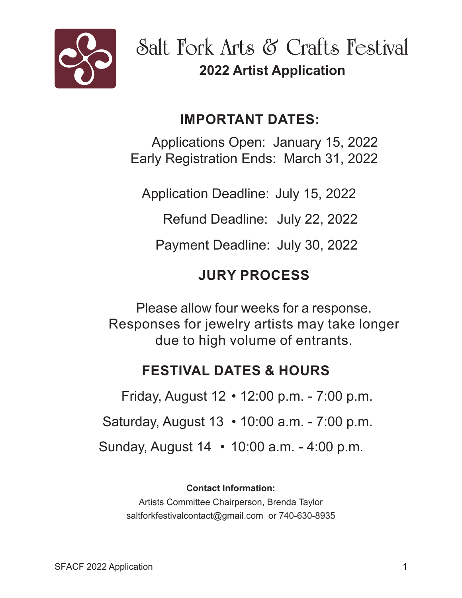

**Salt Fork Arts & Crafts Festival 2022 Artist Application**

## **IMPORTANT DATES:**

Applications Open: January 15, 2022 Early Registration Ends: March 31, 2022

Application Deadline: July 15, 2022

Refund Deadline: July 22, 2022

Payment Deadline: July 30, 2022

## **JURY PROCESS**

Please allow four weeks for a response. Responses for jewelry artists may take longer due to high volume of entrants.

## **FESTIVAL DATES & HOURS**

 Sunday, August 14 • 10:00 a.m. - 4:00 p.m. Friday, August 12 • 12:00 p.m. - 7:00 p.m. Saturday, August 13 • 10:00 a.m. - 7:00 p.m.

**Contact Information:**

Artists Committee Chairperson, Brenda Taylor saltforkfestivalcontact@gmail.com or 740-630-8935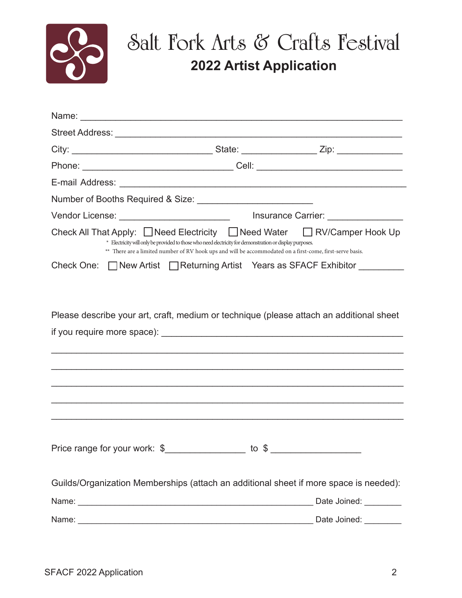

## **Salt Fork Arts & Crafts Festival 2022 Artist Application**

|  |  | Name: Name: Name and All Contract and All Contract and All Contract and All Contract and All Contract and All Contract and All Contract and All Contract and All Contract and All Contract and All Contract and All Contract a |  |                                                                                         |  |
|--|--|--------------------------------------------------------------------------------------------------------------------------------------------------------------------------------------------------------------------------------|--|-----------------------------------------------------------------------------------------|--|
|  |  |                                                                                                                                                                                                                                |  |                                                                                         |  |
|  |  |                                                                                                                                                                                                                                |  |                                                                                         |  |
|  |  |                                                                                                                                                                                                                                |  |                                                                                         |  |
|  |  |                                                                                                                                                                                                                                |  |                                                                                         |  |
|  |  |                                                                                                                                                                                                                                |  |                                                                                         |  |
|  |  |                                                                                                                                                                                                                                |  |                                                                                         |  |
|  |  | * Electricity will only be provided to those who need electricity for demonstration or display purposes.<br>** There are a limited number of RV hook ups and will be accommodated on a first-come, first-serve basis.          |  | Check All That Apply: Need Electricity Need Water Nev/Camper Hook Up                    |  |
|  |  |                                                                                                                                                                                                                                |  | Check One: □ New Artist □ Returning Artist Years as SFACF Exhibitor                     |  |
|  |  |                                                                                                                                                                                                                                |  | Please describe your art, craft, medium or technique (please attach an additional sheet |  |
|  |  |                                                                                                                                                                                                                                |  |                                                                                         |  |
|  |  |                                                                                                                                                                                                                                |  | Guilds/Organization Memberships (attach an additional sheet if more space is needed):   |  |
|  |  |                                                                                                                                                                                                                                |  |                                                                                         |  |
|  |  |                                                                                                                                                                                                                                |  |                                                                                         |  |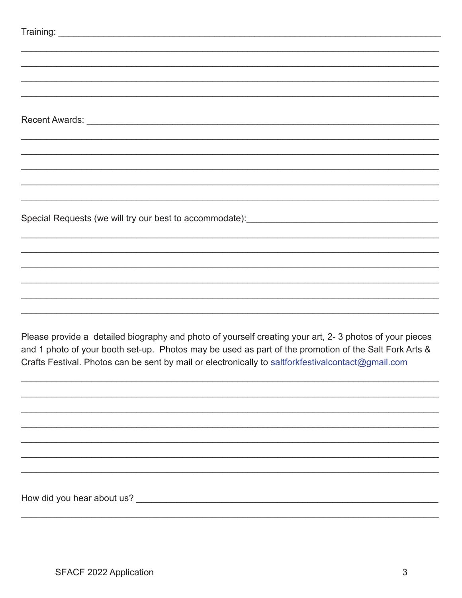| Please provide a detailed biography and photo of yourself creating your art, 2-3 photos of your pieces<br>and 1 photo of your booth set-up. Photos may be used as part of the promotion of the Salt Fork Arts &<br>Crafts Festival. Photos can be sent by mail or electronically to saltforkfestivalcontact@gmail.com |
|-----------------------------------------------------------------------------------------------------------------------------------------------------------------------------------------------------------------------------------------------------------------------------------------------------------------------|
|                                                                                                                                                                                                                                                                                                                       |
|                                                                                                                                                                                                                                                                                                                       |
|                                                                                                                                                                                                                                                                                                                       |
|                                                                                                                                                                                                                                                                                                                       |
|                                                                                                                                                                                                                                                                                                                       |
|                                                                                                                                                                                                                                                                                                                       |
|                                                                                                                                                                                                                                                                                                                       |
|                                                                                                                                                                                                                                                                                                                       |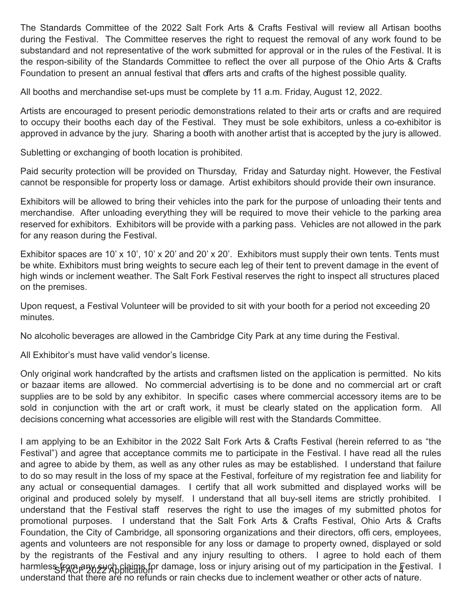The Standards Committee of the 2022 Salt Fork Arts & Crafts Festival will review all Artisan booths during the Festival. The Committee reserves the right to request the removal of any work found to be substandard and not representative of the work submitted for approval or in the rules of the Festival. It is the respon-sibility of the Standards Committee to reflect the over all purpose of the Ohio Arts & Crafts Foundation to present an annual festival that offers arts and crafts of the highest possible quality.

All booths and merchandise set-ups must be complete by 11 a.m. Friday, August 12, 2022.

Artists are encouraged to present periodic demonstrations related to their arts or crafts and are required to occupy their booths each day of the Festival. They must be sole exhibitors, unless a co-exhibitor is approved in advance by the jury. Sharing a booth with another artist that is accepted by the jury is allowed.

Subletting or exchanging of booth location is prohibited.

Paid security protection will be provided on Thursday, Friday and Saturday night. However, the Festival cannot be responsible for property loss or damage. Artist exhibitors should provide their own insurance.

Exhibitors will be allowed to bring their vehicles into the park for the purpose of unloading their tents and merchandise. After unloading everything they will be required to move their vehicle to the parking area reserved for exhibitors. Exhibitors will be provide with a parking pass. Vehicles are not allowed in the park for any reason during the Festival.

Exhibitor spaces are 10' x 10', 10' x 20' and 20' x 20'. Exhibitors must supply their own tents. Tents must be white. Exhibitors must bring weights to secure each leg of their tent to prevent damage in the event of high winds or inclement weather. The Salt Fork Festival reserves the right to inspect all structures placed on the premises.

Upon request, a Festival Volunteer will be provided to sit with your booth for a period not exceeding 20 minutes.

No alcoholic beverages are allowed in the Cambridge City Park at any time during the Festival.

All Exhibitor's must have valid vendor's license.

Only original work handcrafted by the artists and craftsmen listed on the application is permitted. No kits or bazaar items are allowed. No commercial advertising is to be done and no commercial art or craft supplies are to be sold by any exhibitor. In specific cases where commercial accessory items are to be sold in conjunction with the art or craft work, it must be clearly stated on the application form. All decisions concerning what accessories are eligible will rest with the Standards Committee.

I am applying to be an Exhibitor in the 2022 Salt Fork Arts & Crafts Festival (herein referred to as "the Festival") and agree that acceptance commits me to participate in the Festival. I have read all the rules and agree to abide by them, as well as any other rules as may be established. I understand that failure to do so may result in the loss of my space at the Festival, forfeiture of my registration fee and liability for any actual or consequential damages. I certify that all work submitted and displayed works will be original and produced solely by myself. I understand that all buy-sell items are strictly prohibited. I understand that the Festival staff reserves the right to use the images of my submitted photos for promotional purposes. I understand that the Salt Fork Arts & Crafts Festival, Ohio Arts & Crafts Foundation, the City of Cambridge, all sponsoring organizations and their directors, offi cers, employees, agents and volunteers are not responsible for any loss or damage to property owned, displayed or sold by the registrants of the Festival and any injury resulting to others. I agree to hold each of them harmless from any such claims for damage, loss or injury arising out of my participation in the Festival. I understand that there are no refunds or rain checks due to inclement weather or other acts of nature.